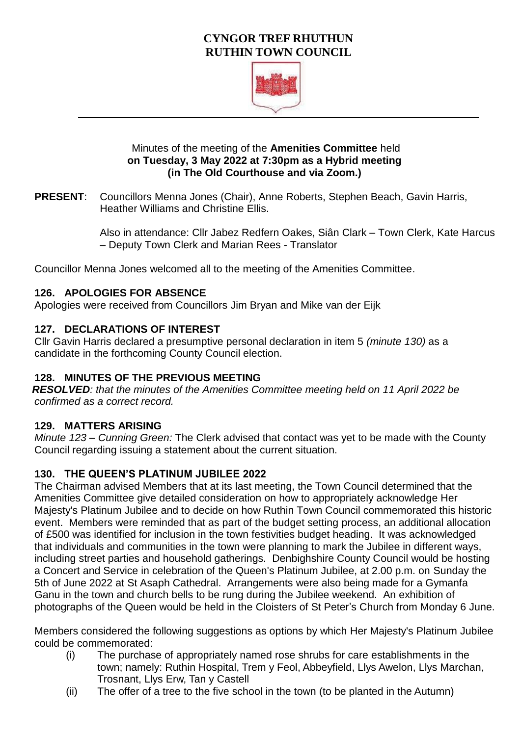# **CYNGOR TREF RHUTHUN RUTHIN TOWN COUNCIL**



#### Minutes of the meeting of the **Amenities Committee** held **on Tuesday, 3 May 2022 at 7:30pm as a Hybrid meeting (in The Old Courthouse and via Zoom.)**

**PRESENT**: Councillors Menna Jones (Chair), Anne Roberts, Stephen Beach, Gavin Harris, Heather Williams and Christine Ellis.

> Also in attendance: Cllr Jabez Redfern Oakes, Siân Clark – Town Clerk, Kate Harcus – Deputy Town Clerk and Marian Rees - Translator

Councillor Menna Jones welcomed all to the meeting of the Amenities Committee.

### **126. APOLOGIES FOR ABSENCE**

Apologies were received from Councillors Jim Bryan and Mike van der Eijk

### **127. DECLARATIONS OF INTEREST**

Cllr Gavin Harris declared a presumptive personal declaration in item 5 *(minute 130)* as a candidate in the forthcoming County Council election.

### **128. MINUTES OF THE PREVIOUS MEETING**

*RESOLVED: that the minutes of the Amenities Committee meeting held on 11 April 2022 be confirmed as a correct record.* 

### **129. MATTERS ARISING**

*Minute 123 – Cunning Green:* The Clerk advised that contact was yet to be made with the County Council regarding issuing a statement about the current situation.

### **130. THE QUEEN'S PLATINUM JUBILEE 2022**

The Chairman advised Members that at its last meeting, the Town Council determined that the Amenities Committee give detailed consideration on how to appropriately acknowledge Her Majesty's Platinum Jubilee and to decide on how Ruthin Town Council commemorated this historic event. Members were reminded that as part of the budget setting process, an additional allocation of £500 was identified for inclusion in the town festivities budget heading. It was acknowledged that individuals and communities in the town were planning to mark the Jubilee in different ways, including street parties and household gatherings. Denbighshire County Council would be hosting a Concert and Service in celebration of the Queen's Platinum Jubilee, at 2.00 p.m. on Sunday the 5th of June 2022 at St Asaph Cathedral. Arrangements were also being made for a Gymanfa Ganu in the town and church bells to be rung during the Jubilee weekend. An exhibition of photographs of the Queen would be held in the Cloisters of St Peter's Church from Monday 6 June.

Members considered the following suggestions as options by which Her Majesty's Platinum Jubilee could be commemorated:

- (i) The purchase of appropriately named rose shrubs for care establishments in the town; namely: Ruthin Hospital, Trem y Feol, Abbeyfield, Llys Awelon, Llys Marchan, Trosnant, Llys Erw, Tan y Castell
- (ii) The offer of a tree to the five school in the town (to be planted in the Autumn)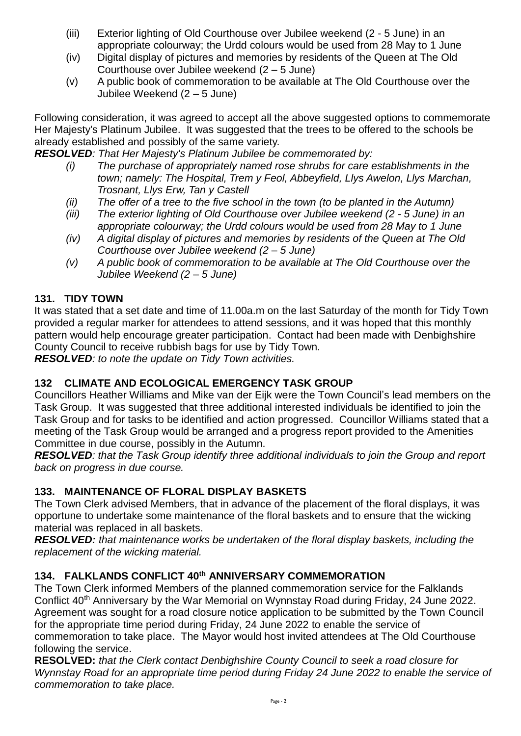- (iii) Exterior lighting of Old Courthouse over Jubilee weekend (2 5 June) in an appropriate colourway; the Urdd colours would be used from 28 May to 1 June
- (iv) Digital display of pictures and memories by residents of the Queen at The Old Courthouse over Jubilee weekend (2 – 5 June)
- (v) A public book of commemoration to be available at The Old Courthouse over the Jubilee Weekend (2 – 5 June)

Following consideration, it was agreed to accept all the above suggested options to commemorate Her Majesty's Platinum Jubilee. It was suggested that the trees to be offered to the schools be already established and possibly of the same variety.

*RESOLVED: That Her Majesty's Platinum Jubilee be commemorated by:*

- *(i) The purchase of appropriately named rose shrubs for care establishments in the town; namely: The Hospital, Trem y Feol, Abbeyfield, Llys Awelon, Llys Marchan, Trosnant, Llys Erw, Tan y Castell*
- *(ii) The offer of a tree to the five school in the town (to be planted in the Autumn)*
- *(iii) The exterior lighting of Old Courthouse over Jubilee weekend (2 - 5 June) in an appropriate colourway; the Urdd colours would be used from 28 May to 1 June*
- *(iv) A digital display of pictures and memories by residents of the Queen at The Old Courthouse over Jubilee weekend (2 – 5 June)*
- *(v) A public book of commemoration to be available at The Old Courthouse over the Jubilee Weekend (2 – 5 June)*

### **131. TIDY TOWN**

It was stated that a set date and time of 11.00a.m on the last Saturday of the month for Tidy Town provided a regular marker for attendees to attend sessions, and it was hoped that this monthly pattern would help encourage greater participation. Contact had been made with Denbighshire County Council to receive rubbish bags for use by Tidy Town.

*RESOLVED: to note the update on Tidy Town activities.*

## **132 CLIMATE AND ECOLOGICAL EMERGENCY TASK GROUP**

Councillors Heather Williams and Mike van der Eijk were the Town Council's lead members on the Task Group. It was suggested that three additional interested individuals be identified to join the Task Group and for tasks to be identified and action progressed. Councillor Williams stated that a meeting of the Task Group would be arranged and a progress report provided to the Amenities Committee in due course, possibly in the Autumn.

*RESOLVED: that the Task Group identify three additional individuals to join the Group and report back on progress in due course.*

### **133. MAINTENANCE OF FLORAL DISPLAY BASKETS**

The Town Clerk advised Members, that in advance of the placement of the floral displays, it was opportune to undertake some maintenance of the floral baskets and to ensure that the wicking material was replaced in all baskets.

*RESOLVED: that maintenance works be undertaken of the floral display baskets, including the replacement of the wicking material.*

### **134. FALKLANDS CONFLICT 40th ANNIVERSARY COMMEMORATION**

The Town Clerk informed Members of the planned commemoration service for the Falklands Conflict 40<sup>th</sup> Anniversary by the War Memorial on Wynnstay Road during Friday, 24 June 2022. Agreement was sought for a road closure notice application to be submitted by the Town Council for the appropriate time period during Friday, 24 June 2022 to enable the service of commemoration to take place. The Mayor would host invited attendees at The Old Courthouse following the service.

**RESOLVED:** *that the Clerk contact Denbighshire County Council to seek a road closure for Wynnstay Road for an appropriate time period during Friday 24 June 2022 to enable the service of commemoration to take place.*